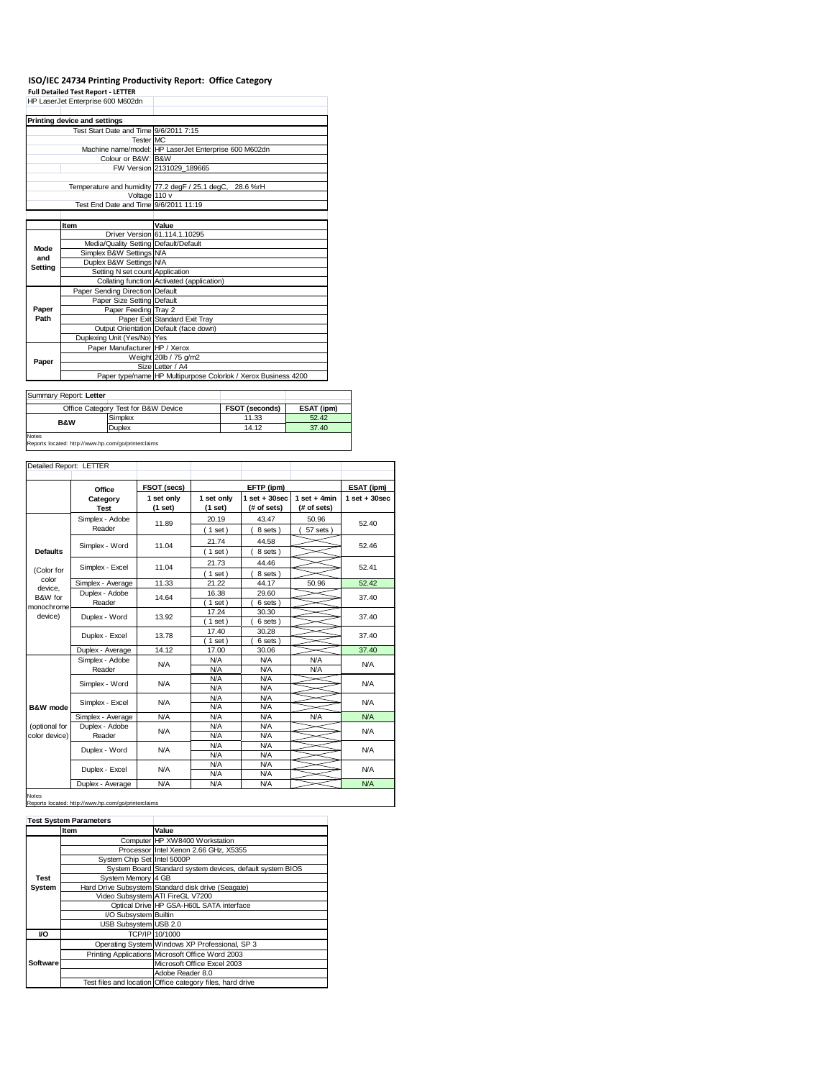## **ISO/IEC 24734 Printing Productivity Report: Office Category**

**Full Detailed Test Report - LETTER** HP LaserJet Enterprise 600 M602dn

|         | Printing device and settings           |                                                                |  |  |
|---------|----------------------------------------|----------------------------------------------------------------|--|--|
|         | Test Start Date and Time 9/6/2011 7:15 |                                                                |  |  |
|         | Tester MC                              |                                                                |  |  |
|         |                                        | Machine name/model: HP LaserJet Enterprise 600 M602dn          |  |  |
|         | Colour or B&W: B&W                     |                                                                |  |  |
|         |                                        | FW Version 2131029 189665                                      |  |  |
|         |                                        |                                                                |  |  |
|         |                                        | Temperature and humidity 77.2 degF / 25.1 degC, 28.6 %rH       |  |  |
|         | Voltage 110 v                          |                                                                |  |  |
|         | Test End Date and Time 9/6/2011 11:19  |                                                                |  |  |
|         |                                        |                                                                |  |  |
|         | Item                                   | Value                                                          |  |  |
|         |                                        | Driver Version 61.114.1.10295                                  |  |  |
| Mode    | Media/Quality Setting Default/Default  |                                                                |  |  |
| and     | Simplex B&W Settings N/A               |                                                                |  |  |
| Setting | Duplex B&W Settings N/A                |                                                                |  |  |
|         | Setting N set count Application        |                                                                |  |  |
|         |                                        | Collating function Activated (application)                     |  |  |
|         | Paper Sending Direction Default        |                                                                |  |  |
|         | Paper Size Setting Default             |                                                                |  |  |
| Paper   | Paper Feeding Tray 2                   |                                                                |  |  |
| Path    |                                        | Paper Exit Standard Exit Tray                                  |  |  |
|         |                                        | Output Orientation Default (face down)                         |  |  |
|         | Duplexing Unit (Yes/No) Yes            |                                                                |  |  |
| Paper   | Paper Manufacturer HP / Xerox          |                                                                |  |  |
|         |                                        | Weight 20lb / 75 g/m2                                          |  |  |
|         |                                        | Size Letter / A4                                               |  |  |
|         |                                        | Paper type/name HP Multipurpose Colorlok / Xerox Business 4200 |  |  |

٦

| Summary Report: Letter                                              |                                     |                |            |  |
|---------------------------------------------------------------------|-------------------------------------|----------------|------------|--|
|                                                                     | Office Category Test for B&W Device | FSOT (seconds) | ESAT (ipm) |  |
| <b>B&amp;W</b>                                                      | Simplex                             | 11.33          | 52.42      |  |
|                                                                     | <b>Duplex</b>                       | 14.12          | 37.40      |  |
| <b>Notes</b><br>Reports located: http://www.hp.com/go/printerclaims |                                     |                |            |  |

## Detailed Report: LETTER

|                  | Office                    | FSOT (secs) |                          | EFTP (ipm)               |                | ESAT (ipm)                      |
|------------------|---------------------------|-------------|--------------------------|--------------------------|----------------|---------------------------------|
|                  | Category                  | 1 set only  | 1 set only               | $1 set + 30 sec$         | $1$ set + 4min | $1$ set $+30$ sec               |
|                  | <b>Test</b>               | (1 set)     | (1 set)                  | (# of sets)              | (# of sets)    |                                 |
|                  | Simplex - Adobe           | 11.89       | 20.19                    | 43.47                    | 50.96          | 52.40                           |
|                  | Reader                    |             | (1 set)                  | 8 sets)                  | 57 sets)       |                                 |
|                  | Simplex - Word            | 11.04       | 21.74                    | 44.58                    |                | 52.46                           |
| <b>Defaults</b>  |                           |             | (1 set)                  | 8 sets)                  |                |                                 |
|                  | Simplex - Excel           | 11.04       | 21.73                    | 44.46                    |                | 52.41                           |
| (Color for       |                           |             | $1$ set)                 | 8 sets)                  |                |                                 |
| color<br>device. | Simplex - Average         | 11.33       | 21.22                    | 44.17                    | 50.96          | 52.42                           |
| B&W for          | Duplex - Adobe            | 14.64       | 16.38                    | 29.60                    |                | 37.40                           |
| monochrome       | Reader                    |             | $1$ set)                 | 6 sets)                  |                |                                 |
| device)          | Duplex - Word             | 13.92       | 17.24                    | 30.30                    |                | 37.40                           |
|                  |                           |             | $1$ set)                 | 6 sets)                  |                |                                 |
|                  | Duplex - Excel            | 13.78       | 17.40                    | 30.28                    |                | 37.40                           |
|                  |                           |             | $1$ set)                 | 6 sets)                  |                |                                 |
|                  | Duplex - Average          | 14.12       | 17.00                    | 30.06                    |                | 37.40                           |
|                  | Simplex - Adobe<br>Reader | N/A         | <b>N/A</b>               | <b>N/A</b>               | <b>N/A</b>     | N/A<br><b>N/A</b><br><b>N/A</b> |
|                  |                           |             | <b>N/A</b>               | <b>N/A</b>               | <b>N/A</b>     |                                 |
|                  | Simplex - Word            | <b>N/A</b>  | <b>N/A</b>               | <b>N/A</b>               |                |                                 |
|                  |                           |             | <b>N/A</b>               | <b>N/A</b>               |                |                                 |
|                  | Simplex - Excel           | <b>N/A</b>  | <b>N/A</b>               | <b>N/A</b>               |                |                                 |
| B&W mode         |                           |             | <b>N/A</b>               | <b>N/A</b>               |                |                                 |
|                  | Simplex - Average         | <b>N/A</b>  | <b>N/A</b>               | <b>N/A</b>               | <b>N/A</b>     | <b>N/A</b>                      |
| (optional for    | Duplex - Adobe            | <b>N/A</b>  | <b>N/A</b>               | <b>N/A</b>               |                | N/A<br><b>N/A</b>               |
| color device)    | Reader                    |             | <b>N/A</b>               | <b>N/A</b>               |                |                                 |
|                  | Duplex - Word             | <b>N/A</b>  | <b>N/A</b>               | <b>N/A</b>               |                |                                 |
|                  |                           |             | <b>N/A</b>               | <b>N/A</b>               |                |                                 |
|                  | Duplex - Excel            | <b>N/A</b>  | <b>N/A</b>               | <b>N/A</b>               |                | N/A                             |
|                  |                           | <b>N/A</b>  | <b>N/A</b><br><b>N/A</b> | <b>N/A</b><br><b>N/A</b> |                | <b>N/A</b>                      |
|                  | Duplex - Average          |             |                          |                          |                |                                 |

## Notes ed: http://www.hp.com/go/printerclaims

|          | <b>Test System Parameters</b> |                                                           |
|----------|-------------------------------|-----------------------------------------------------------|
|          | Item                          | Value                                                     |
|          |                               | Computer HP XW8400 Workstation                            |
|          |                               | Processor Intel Xenon 2.66 GHz, X5355                     |
|          | System Chip Set Intel 5000P   |                                                           |
|          |                               | System Board Standard system devices, default system BIOS |
| Test     | System Memory 4 GB            |                                                           |
| System   |                               | Hard Drive Subsystem Standard disk drive (Seagate)        |
|          |                               | Video Subsystem ATI FireGL V7200                          |
|          |                               | Optical Drive HP GSA-H60L SATA interface                  |
|          | I/O Subsystem Builtin         |                                                           |
|          | USB Subsystem USB 2.0         |                                                           |
| VO       |                               | TCP/IP 10/1000                                            |
|          |                               | Operating System Windows XP Professional, SP 3            |
| Software |                               | Printing Applications Microsoft Office Word 2003          |
|          |                               | Microsoft Office Excel 2003                               |
|          |                               | Adobe Reader 8.0                                          |
|          |                               | Test files and location Office category files, hard drive |